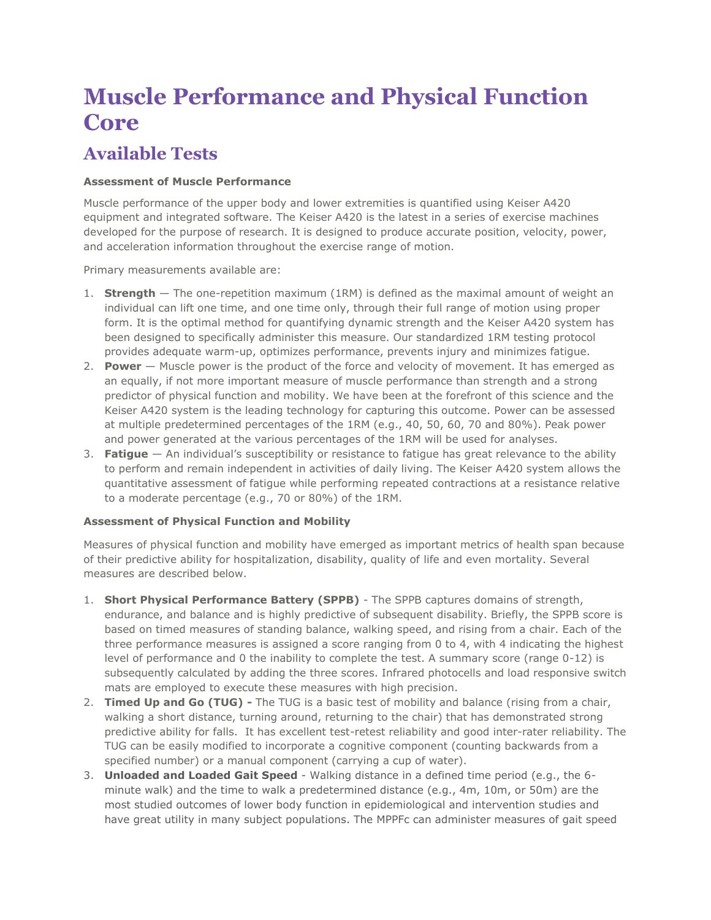# **Muscle Performance and Physical Function Core**

# **Available Tests**

## **Assessment of Muscle Performance**

Muscle performance of the upper body and lower extremities is quantified using Keiser A420 equipment and integrated software. The Keiser A420 is the latest in a series of exercise machines developed for the purpose of research. It is designed to produce accurate position, velocity, power, and acceleration information throughout the exercise range of motion.

Primary measurements available are:

- 1. **Strength** The one-repetition maximum (1RM) is defined as the maximal amount of weight an individual can lift one time, and one time only, through their full range of motion using proper form. It is the optimal method for quantifying dynamic strength and the Keiser A420 system has been designed to specifically administer this measure. Our standardized 1RM testing protocol provides adequate warm-up, optimizes performance, prevents injury and minimizes fatigue.
- 2. **Power** Muscle power is the product of the force and velocity of movement. It has emerged as an equally, if not more important measure of muscle performance than strength and a strong predictor of physical function and mobility. We have been at the forefront of this science and the Keiser A420 system is the leading technology for capturing this outcome. Power can be assessed at multiple predetermined percentages of the 1RM (e.g., 40, 50, 60, 70 and 80%). Peak power and power generated at the various percentages of the 1RM will be used for analyses.
- 3. **Fatigue** An individual's susceptibility or resistance to fatigue has great relevance to the ability to perform and remain independent in activities of daily living. The Keiser A420 system allows the quantitative assessment of fatigue while performing repeated contractions at a resistance relative to a moderate percentage (e.g., 70 or 80%) of the 1RM.

### **Assessment of Physical Function and Mobility**

Measures of physical function and mobility have emerged as important metrics of health span because of their predictive ability for hospitalization, disability, quality of life and even mortality. Several measures are described below.

- 1. **Short Physical Performance Battery (SPPB)** The SPPB captures domains of strength, endurance, and balance and is highly predictive of subsequent disability. Briefly, the SPPB score is based on timed measures of standing balance, walking speed, and rising from a chair. Each of the three performance measures is assigned a score ranging from 0 to 4, with 4 indicating the highest level of performance and 0 the inability to complete the test. A summary score (range 0-12) is subsequently calculated by adding the three scores. Infrared photocells and load responsive switch mats are employed to execute these measures with high precision.
- 2. **Timed Up and Go (TUG) -** The TUG is a basic test of mobility and balance (rising from a chair, walking a short distance, turning around, returning to the chair) that has demonstrated strong predictive ability for falls. It has excellent test-retest reliability and good inter-rater reliability. The TUG can be easily modified to incorporate a cognitive component (counting backwards from a specified number) or a manual component (carrying a cup of water).
- 3. **Unloaded and Loaded Gait Speed** Walking distance in a defined time period (e.g., the 6 minute walk) and the time to walk a predetermined distance (e.g., 4m, 10m, or 50m) are the most studied outcomes of lower body function in epidemiological and intervention studies and have great utility in many subject populations. The MPPFc can administer measures of gait speed